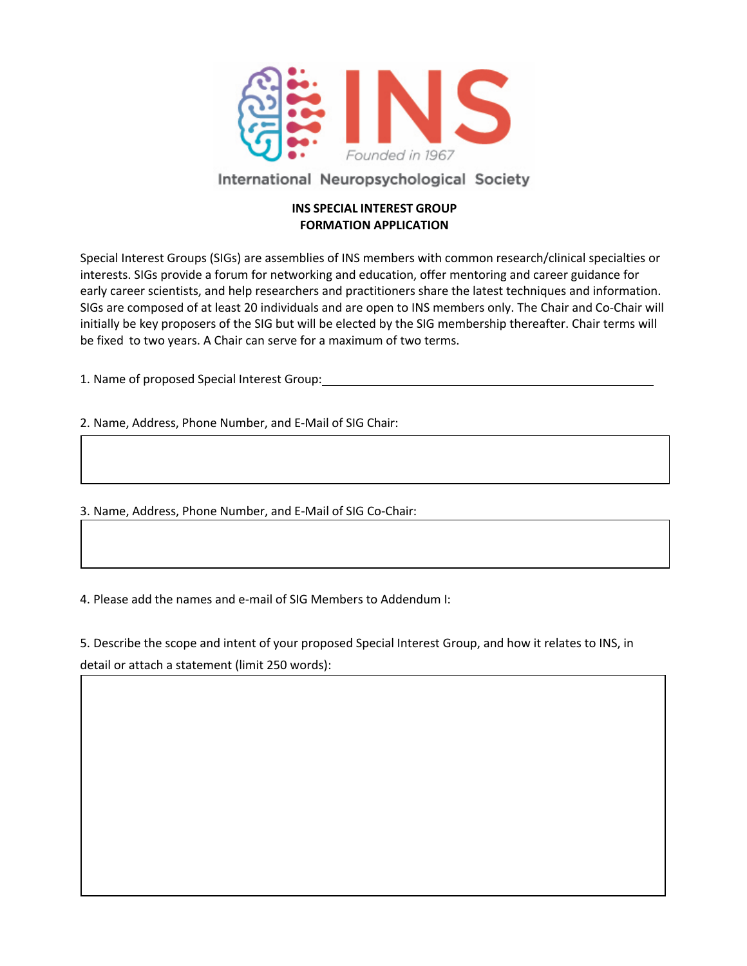

# International Neuropsychological Society

### **INS SPECIAL INTEREST GROUP FORMATION APPLICATION**

Special Interest Groups (SIGs) are assemblies of INS members with common research/clinical specialties or interests. SIGs provide a forum for networking and education, offer mentoring and career guidance for early career scientists, and help researchers and practitioners share the latest techniques and information. SIGs are composed of at least 20 individuals and are open to INS members only. The Chair and Co-Chair will initially be key proposers of the SIG but will be elected by the SIG membership thereafter. Chair terms will be fixed to two years. A Chair can serve for a maximum of two terms.

1. Name of proposed Special Interest Group:

2. Name, Address, Phone Number, and E-Mail of SIG Chair:

3. Name, Address, Phone Number, and E-Mail of SIG Co-Chair:

4. Please add the names and e-mail of SIG Members to Addendum I:

5. Describe the scope and intent of your proposed Special Interest Group, and how it relates to INS, in detail or attach a statement (limit 250 words):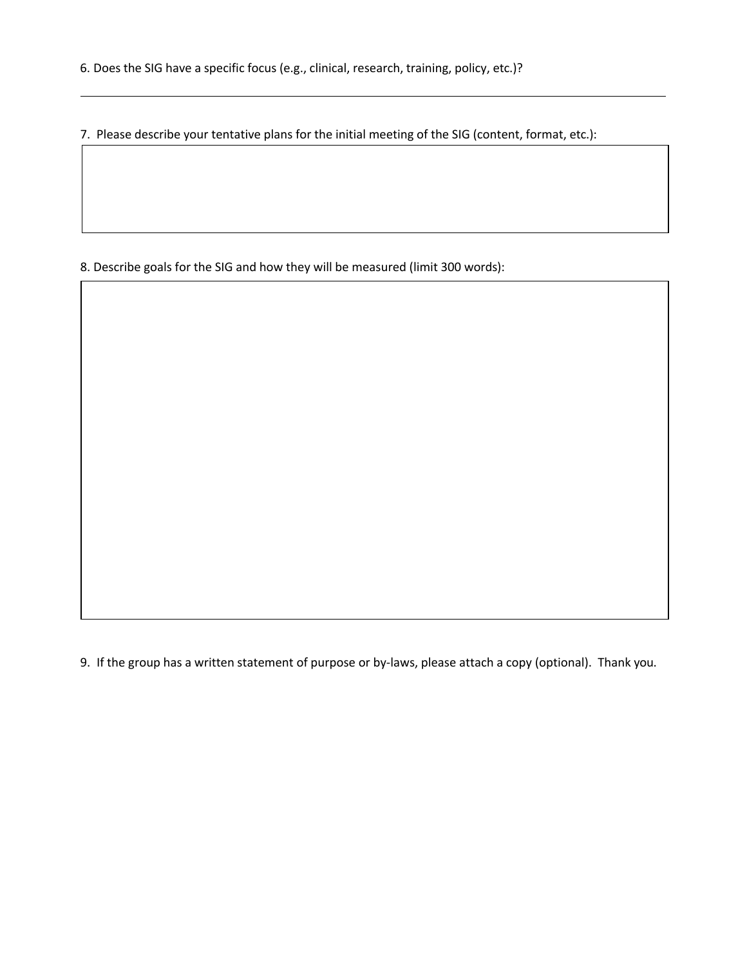7. Please describe your tentative plans for the initial meeting of the SIG (content, format, etc.):

8. Describe goals for the SIG and how they will be measured (limit 300 words):

9. If the group has a written statement of purpose or by-laws, please attach a copy (optional). Thank you.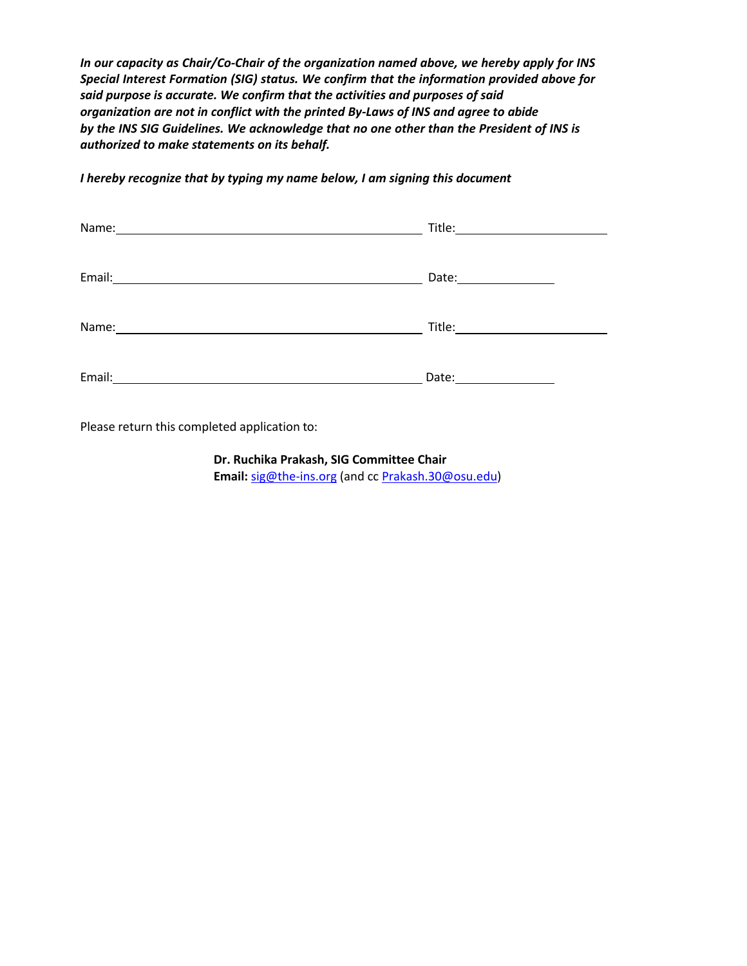*In our capacity as Chair/Co-Chair of the organization named above, we hereby apply for INS Special Interest Formation (SIG) status. We confirm that the information provided above for said purpose is accurate. We confirm that the activities and purposes of said organization are not in conflict with the printed By-Laws of INS and agree to abide by the INS SIG Guidelines. We acknowledge that no one other than the President of INS is authorized to make statements on its behalf.*

Name: Title: Email: Date: Name: Title: Email: 2008. 2010. 2010. 2010. 2010. 2010. 2010. 2010. 2010. 2010. 2010. 2010. 2010. 2010. 2010. 2010. 2010. 20

*I hereby recognize that by typing my name below, I am signing this document*

Please return this completed application to:

**Dr. Ruchika Prakash, SIG Committee Chair Email:** sig@the-ins.org (and cc Prakash.30@osu.edu)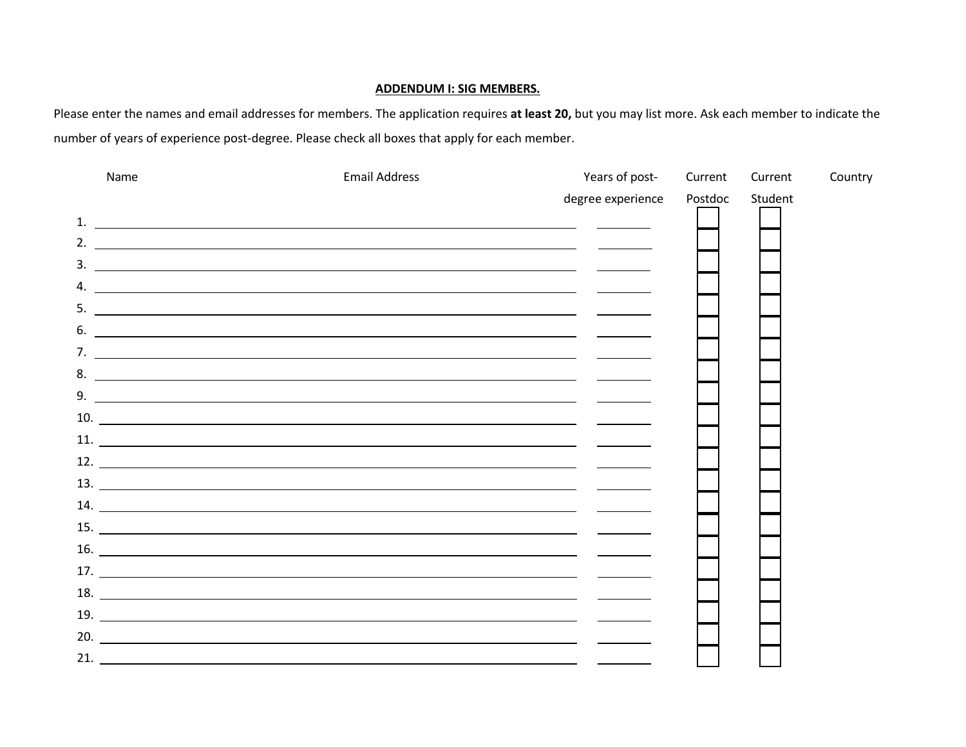#### **ADDENDUM I: SIG MEMBERS.**

Please enter the names and email addresses for members. The application requires **at least 20,** but you may list more. Ask each member to indicate the number of years of experience post-degree. Please check all boxes that apply for each member.

| Name | <b>Email Address</b>                                                                                                                                                                                                                                                                                                                                                                                                                                                    | Years of post-    | Current | Current | Country |
|------|-------------------------------------------------------------------------------------------------------------------------------------------------------------------------------------------------------------------------------------------------------------------------------------------------------------------------------------------------------------------------------------------------------------------------------------------------------------------------|-------------------|---------|---------|---------|
|      |                                                                                                                                                                                                                                                                                                                                                                                                                                                                         | degree experience | Postdoc | Student |         |
|      |                                                                                                                                                                                                                                                                                                                                                                                                                                                                         |                   |         |         |         |
|      | 2. $\qquad \qquad$                                                                                                                                                                                                                                                                                                                                                                                                                                                      |                   |         |         |         |
|      |                                                                                                                                                                                                                                                                                                                                                                                                                                                                         |                   |         |         |         |
| 4.   | <u> 1980 - Andrea State Barbara, amerikan personal di sebagai personal di sebagai personal di sebagai personal d</u>                                                                                                                                                                                                                                                                                                                                                    |                   |         |         |         |
|      | $5.$ $\overline{\phantom{a}}$                                                                                                                                                                                                                                                                                                                                                                                                                                           |                   |         |         |         |
|      | $\overline{\phantom{a}}$ . The contract of the contract of the contract of the contract of the contract of the contract of the contract of the contract of the contract of the contract of the contract of the contract of the contract of                                                                                                                                                                                                                              |                   |         |         |         |
|      |                                                                                                                                                                                                                                                                                                                                                                                                                                                                         |                   |         |         |         |
|      |                                                                                                                                                                                                                                                                                                                                                                                                                                                                         |                   |         |         |         |
|      | 9.                                                                                                                                                                                                                                                                                                                                                                                                                                                                      |                   |         |         |         |
|      | $10.$ $\overline{\phantom{a}}$ $\overline{\phantom{a}}$ $\overline{\phantom{a}}$ $\overline{\phantom{a}}$ $\overline{\phantom{a}}$ $\overline{\phantom{a}}$ $\overline{\phantom{a}}$ $\overline{\phantom{a}}$ $\overline{\phantom{a}}$ $\overline{\phantom{a}}$ $\overline{\phantom{a}}$ $\overline{\phantom{a}}$ $\overline{\phantom{a}}$ $\overline{\phantom{a}}$ $\overline{\phantom{a}}$ $\overline{\phantom{a}}$ $\overline{\phantom{a}}$ $\overline{\phantom{a}}$ |                   |         |         |         |
|      |                                                                                                                                                                                                                                                                                                                                                                                                                                                                         |                   |         |         |         |
|      | $12.$ $\frac{1}{2}$ $\frac{1}{2}$ $\frac{1}{2}$ $\frac{1}{2}$ $\frac{1}{2}$ $\frac{1}{2}$ $\frac{1}{2}$ $\frac{1}{2}$ $\frac{1}{2}$ $\frac{1}{2}$ $\frac{1}{2}$ $\frac{1}{2}$ $\frac{1}{2}$ $\frac{1}{2}$ $\frac{1}{2}$ $\frac{1}{2}$ $\frac{1}{2}$ $\frac{1}{2}$ $\frac{1}{2}$ $\frac{1}{2}$ $\frac{1}{2}$ $\frac{1$                                                                                                                                                   |                   |         |         |         |
|      |                                                                                                                                                                                                                                                                                                                                                                                                                                                                         |                   |         |         |         |
|      | 14.                                                                                                                                                                                                                                                                                                                                                                                                                                                                     |                   |         |         |         |
|      | $15.$ $\frac{1}{2}$ $\frac{1}{2}$ $\frac{1}{2}$ $\frac{1}{2}$ $\frac{1}{2}$ $\frac{1}{2}$ $\frac{1}{2}$ $\frac{1}{2}$ $\frac{1}{2}$ $\frac{1}{2}$ $\frac{1}{2}$ $\frac{1}{2}$ $\frac{1}{2}$ $\frac{1}{2}$ $\frac{1}{2}$ $\frac{1}{2}$ $\frac{1}{2}$ $\frac{1}{2}$ $\frac{1}{2}$ $\frac{1}{2}$ $\frac{1}{2}$ $\frac{1$                                                                                                                                                   |                   |         |         |         |
|      | $16.$ $\overline{\phantom{a}}$                                                                                                                                                                                                                                                                                                                                                                                                                                          |                   |         |         |         |
|      |                                                                                                                                                                                                                                                                                                                                                                                                                                                                         |                   |         |         |         |
|      |                                                                                                                                                                                                                                                                                                                                                                                                                                                                         |                   |         |         |         |
|      |                                                                                                                                                                                                                                                                                                                                                                                                                                                                         |                   |         |         |         |
|      | $\overline{20}$ .                                                                                                                                                                                                                                                                                                                                                                                                                                                       |                   |         |         |         |
|      | 21.                                                                                                                                                                                                                                                                                                                                                                                                                                                                     |                   |         |         |         |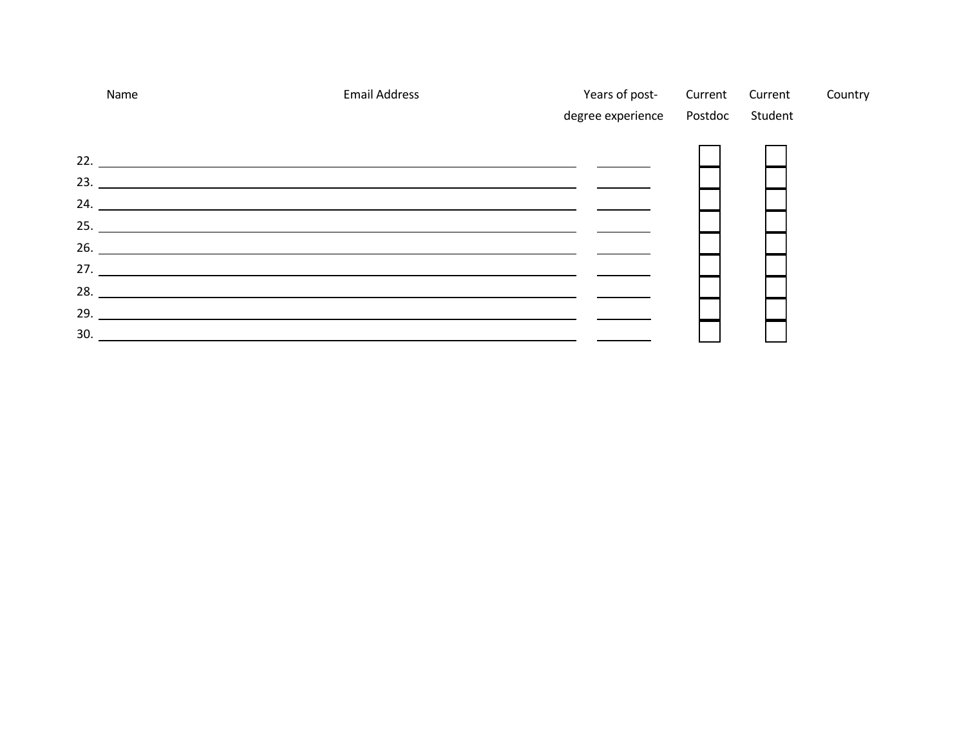|     | Name                                                                                                                   | <b>Email Address</b> | Years of post-<br>degree experience  Postdoc  Student |  | Current Current | Country |
|-----|------------------------------------------------------------------------------------------------------------------------|----------------------|-------------------------------------------------------|--|-----------------|---------|
|     |                                                                                                                        |                      |                                                       |  |                 |         |
|     |                                                                                                                        |                      |                                                       |  |                 |         |
|     |                                                                                                                        |                      |                                                       |  |                 |         |
|     |                                                                                                                        |                      |                                                       |  |                 |         |
|     |                                                                                                                        |                      |                                                       |  |                 |         |
|     |                                                                                                                        |                      |                                                       |  |                 |         |
|     |                                                                                                                        |                      |                                                       |  |                 |         |
|     |                                                                                                                        |                      |                                                       |  |                 |         |
|     |                                                                                                                        |                      |                                                       |  |                 |         |
| 29. |                                                                                                                        |                      |                                                       |  |                 |         |
| 30. | <u> 1989 - Johann Stoff, deutscher Stoffen und der Stoffen und der Stoffen und der Stoffen und der Stoffen und der</u> |                      |                                                       |  |                 |         |
|     |                                                                                                                        |                      |                                                       |  |                 |         |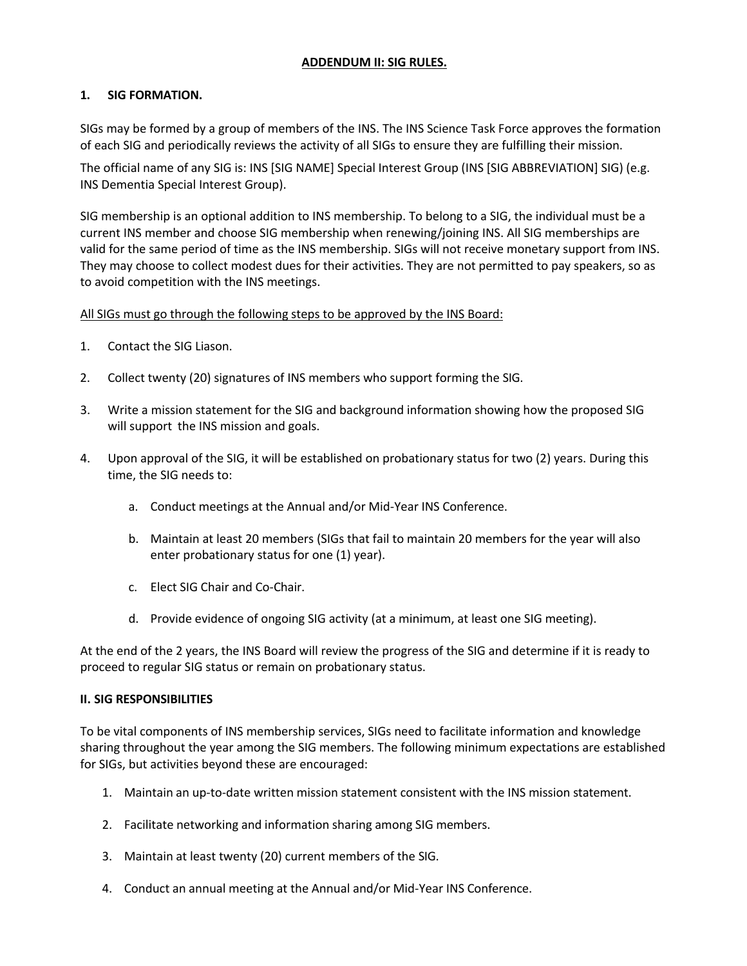### **ADDENDUM II: SIG RULES.**

## **1. SIG FORMATION.**

SIGs may be formed by a group of members of the INS. The INS Science Task Force approves the formation of each SIG and periodically reviews the activity of all SIGs to ensure they are fulfilling their mission.

The official name of any SIG is: INS [SIG NAME] Special Interest Group (INS [SIG ABBREVIATION] SIG) (e.g. INS Dementia Special Interest Group).

SIG membership is an optional addition to INS membership. To belong to a SIG, the individual must be a current INS member and choose SIG membership when renewing/joining INS. All SIG memberships are valid for the same period of time as the INS membership. SIGs will not receive monetary support from INS. They may choose to collect modest dues for their activities. They are not permitted to pay speakers, so as to avoid competition with the INS meetings.

### All SIGs must go through the following steps to be approved by the INS Board:

- 1. Contact the SIG Liason.
- 2. Collect twenty (20) signatures of INS members who support forming the SIG.
- 3. Write a mission statement for the SIG and background information showing how the proposed SIG will support the INS mission and goals.
- 4. Upon approval of the SIG, it will be established on probationary status for two (2) years. During this time, the SIG needs to:
	- a. Conduct meetings at the Annual and/or Mid-Year INS Conference.
	- b. Maintain at least 20 members (SIGs that fail to maintain 20 members for the year will also enter probationary status for one (1) year).
	- c. Elect SIG Chair and Co-Chair.
	- d. Provide evidence of ongoing SIG activity (at a minimum, at least one SIG meeting).

At the end of the 2 years, the INS Board will review the progress of the SIG and determine if it is ready to proceed to regular SIG status or remain on probationary status.

### **II. SIG RESPONSIBILITIES**

To be vital components of INS membership services, SIGs need to facilitate information and knowledge sharing throughout the year among the SIG members. The following minimum expectations are established for SIGs, but activities beyond these are encouraged:

- 1. Maintain an up-to-date written mission statement consistent with the INS mission statement.
- 2. Facilitate networking and information sharing among SIG members.
- 3. Maintain at least twenty (20) current members of the SIG.
- 4. Conduct an annual meeting at the Annual and/or Mid-Year INS Conference.